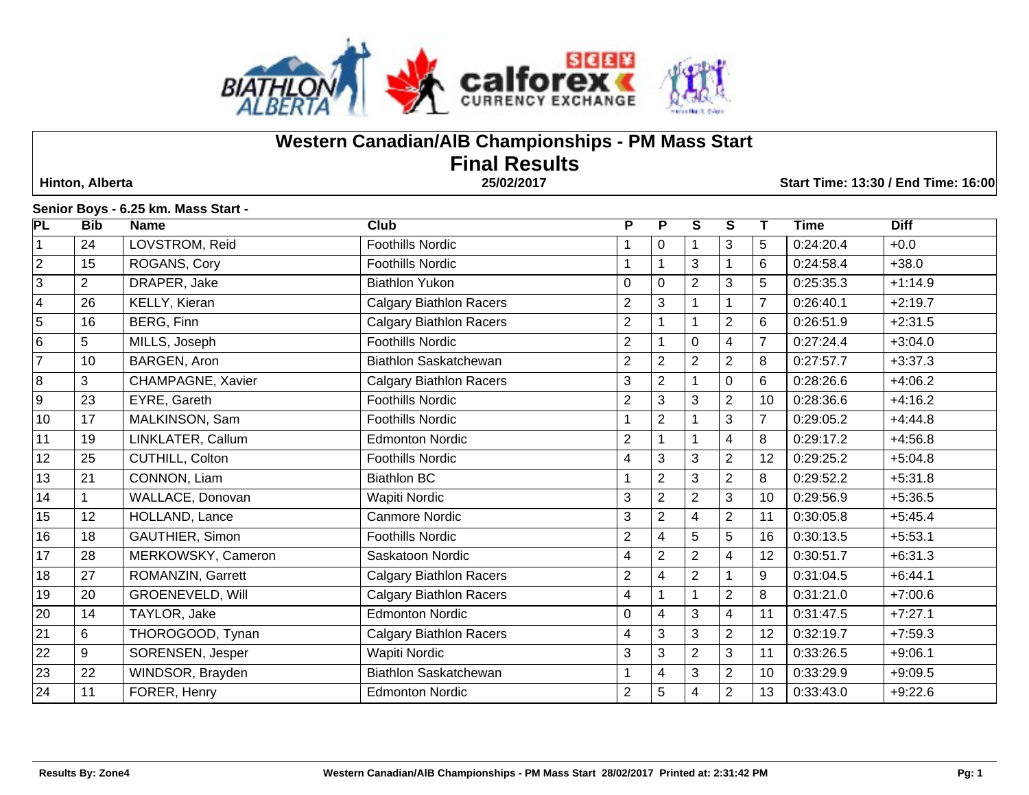

# **Western Canadian/AlB Championships - PM Mass Start Final Results**

 **Hinton, Alberta 25/02/2017 Start Time: 13:30 / End Time: 16:00**

#### **Senior Boys - 6.25 km. Mass Start -**

| <b>PL</b>               | <b>Bib</b>     | <b>Name</b>             | Club                           | $\overline{P}$            | P              | $\overline{s}$ | $\overline{\mathbf{s}}$ | Т              | Time      | <b>Diff</b> |
|-------------------------|----------------|-------------------------|--------------------------------|---------------------------|----------------|----------------|-------------------------|----------------|-----------|-------------|
| $\vert$ 1               | 24             | LOVSTROM, Reid          | Foothills Nordic               |                           | 0              |                | 3                       | 5              | 0:24:20.4 | $+0.0$      |
| $\overline{2}$          | 15             | ROGANS, Cory            | <b>Foothills Nordic</b>        | 1                         |                | 3              |                         | 6              | 0:24:58.4 | $+38.0$     |
| $\overline{3}$          | $\overline{2}$ | DRAPER, Jake            | <b>Biathlon Yukon</b>          | $\mathbf 0$               | $\mathbf{0}$   | $\overline{2}$ | $\mathbf{3}$            | 5              | 0:25:35.3 | $+1:14.9$   |
| $\overline{\mathbf{4}}$ | 26             | KELLY, Kieran           | <b>Calgary Biathlon Racers</b> | $\overline{c}$            | 3              |                |                         | $\overline{7}$ | 0:26:40.1 | $+2:19.7$   |
| $\overline{5}$          | 16             | BERG, Finn              | <b>Calgary Biathlon Racers</b> | $\overline{2}$            |                |                | $\overline{2}$          | 6              | 0:26:51.9 | $+2:31.5$   |
| $\overline{6}$          | 5              | MILLS, Joseph           | <b>Foothills Nordic</b>        | $\overline{2}$            |                | $\mathbf 0$    | 4                       | $\overline{7}$ | 0:27:24.4 | $+3:04.0$   |
| $\overline{7}$          | 10             | BARGEN, Aron            | <b>Biathlon Saskatchewan</b>   | $\overline{2}$            | 2              | $\overline{2}$ | $\overline{2}$          | 8              | 0:27:57.7 | $+3:37.3$   |
| $\overline{8}$          | 3              | CHAMPAGNE, Xavier       | <b>Calgary Biathlon Racers</b> | 3                         | $\overline{2}$ |                | $\mathbf 0$             | 6              | 0:28:26.6 | $+4:06.2$   |
| $\overline{9}$          | 23             | EYRE, Gareth            | <b>Foothills Nordic</b>        | 2                         | 3              | 3              | $\overline{2}$          | 10             | 0:28:36.6 | $+4:16.2$   |
| 10                      | 17             | MALKINSON, Sam          | <b>Foothills Nordic</b>        |                           | 2              |                | 3                       |                | 0:29:05.2 | $+4:44.8$   |
| 11                      | 19             | LINKLATER, Callum       | <b>Edmonton Nordic</b>         | $\overline{c}$            |                |                | 4                       | 8              | 0:29:17.2 | $+4:56.8$   |
| 12                      | 25             | CUTHILL, Colton         | <b>Foothills Nordic</b>        | 4                         | 3              | 3              | $\overline{2}$          | 12             | 0:29:25.2 | $+5:04.8$   |
| 13                      | 21             | CONNON, Liam            | <b>Biathlon BC</b>             | 1                         | $\overline{2}$ | 3              | $\overline{2}$          | 8              | 0:29:52.2 | $+5:31.8$   |
| 14                      |                | WALLACE, Donovan        | <b>Wapiti Nordic</b>           | $\ensuremath{\mathsf{3}}$ | $\overline{2}$ | $\overline{2}$ | $\mathbf{3}$            | 10             | 0:29:56.9 | $+5:36.5$   |
| 15                      | 12             | HOLLAND, Lance          | <b>Canmore Nordic</b>          | $\ensuremath{\mathsf{3}}$ | $\overline{2}$ | 4              | $\overline{2}$          | 11             | 0:30:05.8 | $+5:45.4$   |
| 16                      | 18             | GAUTHIER, Simon         | <b>Foothills Nordic</b>        | $\overline{c}$            | 4              | 5              | $\overline{5}$          | 16             | 0:30:13.5 | $+5:53.1$   |
| 17                      | 28             | MERKOWSKY, Cameron      | Saskatoon Nordic               | 4                         | $\overline{2}$ | $\overline{2}$ | $\overline{\mathbf{4}}$ | 12             | 0:30:51.7 | $+6:31.3$   |
| 18                      | 27             | ROMANZIN, Garrett       | <b>Calgary Biathlon Racers</b> | $\overline{c}$            | 4              | $\overline{2}$ |                         | 9              | 0:31:04.5 | $+6:44.1$   |
| 19                      | 20             | <b>GROENEVELD, Will</b> | <b>Calgary Biathlon Racers</b> | $\overline{\mathcal{A}}$  |                |                | $\overline{2}$          | 8              | 0:31:21.0 | $+7:00.6$   |
| $\overline{20}$         | 14             | TAYLOR, Jake            | <b>Edmonton Nordic</b>         | $\pmb{0}$                 | 4              | 3              | $\overline{4}$          | 11             | 0:31:47.5 | $+7:27.1$   |
| $\overline{21}$         | 6              | THOROGOOD, Tynan        | <b>Calgary Biathlon Racers</b> | 4                         | 3              | 3              | $\overline{2}$          | 12             | 0:32:19.7 | $+7:59.3$   |
| $\overline{22}$         | 9              | SORENSEN, Jesper        | Wapiti Nordic                  | 3                         | 3              | $\overline{2}$ | 3                       | 11             | 0:33:26.5 | $+9:06.1$   |
| 23                      | 22             | WINDSOR, Brayden        | Biathlon Saskatchewan          | 1                         | 4              | 3              | $\overline{2}$          | 10             | 0:33:29.9 | $+9:09.5$   |
| 24                      | 11             | FORER, Henry            | <b>Edmonton Nordic</b>         | $\overline{2}$            | 5              | 4              | $\overline{2}$          | 13             | 0:33:43.0 | $+9:22.6$   |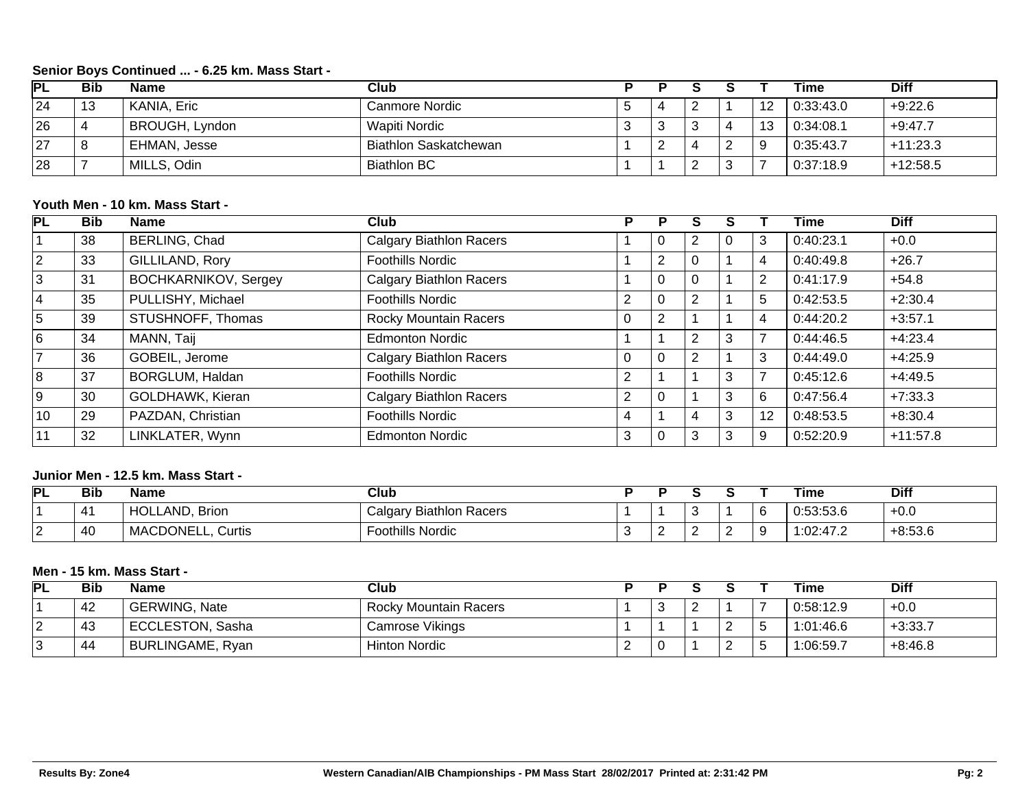## **Senior Boys Continued ... - 6.25 km. Mass Start -**

| PL | <b>Bib</b> | <b>Name</b>           | Club                         |  |   |           | Time      | Diff       |
|----|------------|-----------------------|------------------------------|--|---|-----------|-----------|------------|
| 24 | 13         | KANIA, Eric           | Canmore Nordic               |  |   | 12        | 0:33:43.0 | $+9:22.6$  |
| 26 |            | <b>BROUGH, Lyndon</b> | Wapiti Nordic                |  |   | 12<br>ن ا | 0:34:08.1 | $+9:47.7$  |
| 27 |            | EHMAN, Jesse          | <b>Biathlon Saskatchewan</b> |  | 4 |           | 0:35:43.7 | $+11:23.3$ |
| 28 |            | MILLS, Odin           | <b>Biathlon BC</b>           |  |   |           | 0.37:18.9 | $+12:58.5$ |

## **Youth Men - 10 km. Mass Start -**

| PL             | <b>Bib</b> | <b>Name</b>                 | Club                           | P              |          |          |   |                | Time      | <b>Diff</b> |
|----------------|------------|-----------------------------|--------------------------------|----------------|----------|----------|---|----------------|-----------|-------------|
|                | 38         | <b>BERLING, Chad</b>        | <b>Calgary Biathlon Racers</b> |                | U        | 2        | 0 | 3              | 0:40:23.1 | $+0.0$      |
| $\overline{2}$ | 33         | GILLILAND, Rory             | <b>Foothills Nordic</b>        |                | 2        | $\Omega$ |   | 4              | 0:40:49.8 | $+26.7$     |
| 3              | 31         | <b>BOCHKARNIKOV, Sergey</b> | <b>Calgary Biathlon Racers</b> |                | $\Omega$ | $\Omega$ |   | $\overline{2}$ | 0:41:17.9 | $+54.8$     |
| 14             | 35         | PULLISHY, Michael           | <b>Foothills Nordic</b>        | $\overline{2}$ | 0        | 2        |   | 5              | 0:42:53.5 | $+2:30.4$   |
| 5              | 39         | STUSHNOFF, Thomas           | <b>Rocky Mountain Racers</b>   | $\Omega$       | 2        |          |   | 4              | 0:44:20.2 | $+3:57.1$   |
| 6              | 34         | MANN, Taij                  | <b>Edmonton Nordic</b>         |                |          | 2        | 3 |                | 0:44:46.5 | $+4:23.4$   |
| $\overline{7}$ | 36         | GOBEIL, Jerome              | <b>Calgary Biathlon Racers</b> | 0              | 0        | 2        |   | 3              | 0:44:49.0 | $+4:25.9$   |
| 8              | 37         | BORGLUM, Haldan             | <b>Foothills Nordic</b>        | 2              |          |          | 3 |                | 0:45:12.6 | $+4:49.5$   |
| l 9            | 30         | GOLDHAWK, Kieran            | <b>Calgary Biathlon Racers</b> | $\overline{2}$ | 0        |          | 3 | 6              | 0:47:56.4 | $+7:33.3$   |
| 10             | 29         | PAZDAN, Christian           | <b>Foothills Nordic</b>        | 4              |          | 4        | 3 | 12             | 0:48:53.5 | $+8:30.4$   |
| 11             | 32         | LINKLATER, Wynn             | <b>Edmonton Nordic</b>         | 3              | 0        | 3        | 3 | 9              | 0:52:20.9 | $+11:57.8$  |

#### **Junior Men - 12.5 km. Mass Start -**

| PL | <b>Bib</b>       | Name                           | Club                           |   |  | Time      | <b>Diff</b> |
|----|------------------|--------------------------------|--------------------------------|---|--|-----------|-------------|
|    | 4                | <b>HOLLAND</b><br><b>Brion</b> | <b>Calgary Biathlon Racers</b> |   |  | 0:53:53.6 | $+0.0$      |
|    | $\sqrt{2}$<br>40 | MACDONELL,<br>Curtis           | <b>Foothills Nordic</b>        | - |  | 1:02:47.2 | $+8:53.6$   |

#### **Men - 15 km. Mass Start -**

| PL | <b>Bib</b> | <b>Name</b>          | Club                  |                          |          | Time      | Diff      |
|----|------------|----------------------|-----------------------|--------------------------|----------|-----------|-----------|
|    | 42         | <b>GERWING, Nate</b> | Rocky Mountain Racers | $\overline{\phantom{a}}$ |          | 0:58:12.9 | $+0.0$    |
|    | 43         | ECCLESTON, Sasha     | Camrose Vikings       |                          | <u>.</u> | 1:01:46.6 | $+3:33.7$ |
|    | 44         | BURLINGAME, Ryan     | <b>Hinton Nordic</b>  |                          | <u>.</u> | 1:06:59.7 | $+8:46.8$ |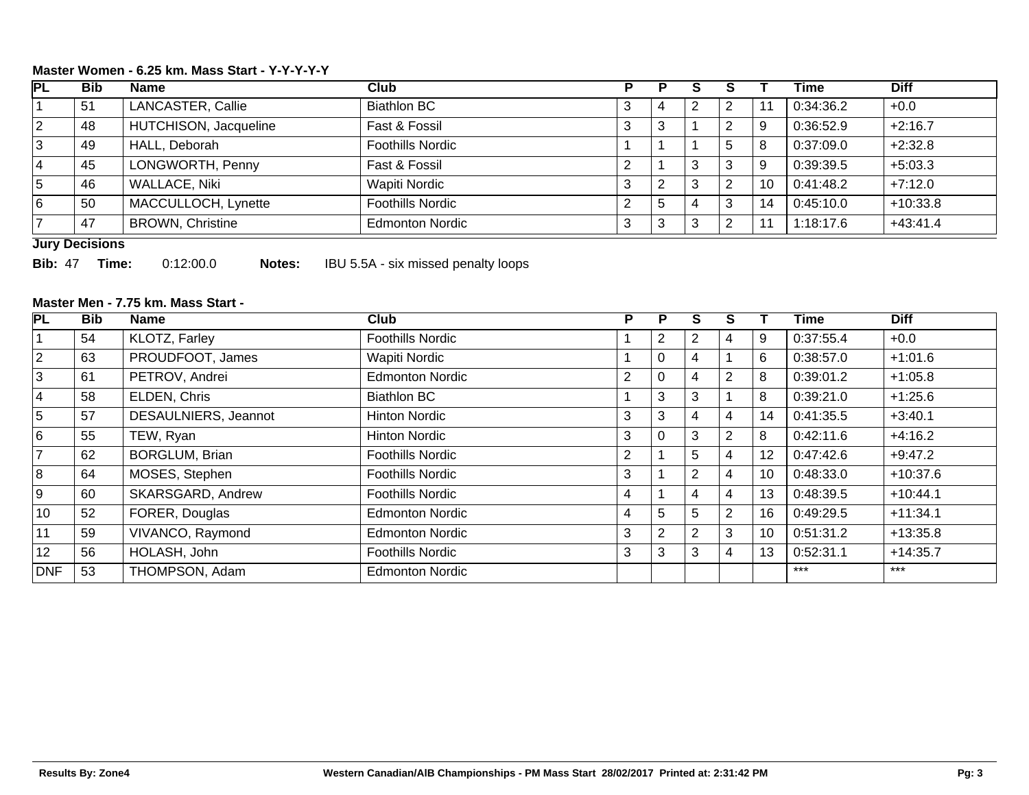## **Master Women - 6.25 km. Mass Start - Y-Y-Y-Y-Y**

| PL             | <b>Bib</b> | <b>Name</b>             | Club                    |                |    |   |   |    | <b>Time</b> | <b>Diff</b> |
|----------------|------------|-------------------------|-------------------------|----------------|----|---|---|----|-------------|-------------|
|                | -51        | LANCASTER, Callie       | <b>Biathlon BC</b>      | J.             |    |   | ົ |    | 0:34:36.2   | $+0.0$      |
| $\overline{2}$ | 48         | HUTCHISON, Jacqueline   | Fast & Fossil           | 3              |    |   | ◠ |    | 0:36:52.9   | $+2:16.7$   |
| 3              | 49         | HALL, Deborah           | <b>Foothills Nordic</b> |                |    |   | 5 | 8  | 0:37:09.0   | $+2:32.8$   |
| <b>4</b>       | 45         | LONGWORTH, Penny        | Fast & Fossil           | ◠              |    | 3 | 3 | 9  | 0:39:39.5   | $+5:03.3$   |
| 5              | 46         | WALLACE, Niki           | <b>Wapiti Nordic</b>    | 3              |    | 3 | 2 | 10 | 0:41:48.2   | $+7:12.0$   |
| 16             | 50         | MACCULLOCH, Lynette     | <b>Foothills Nordic</b> | $\overline{2}$ | .5 | 4 | 3 | 14 | 0:45:10.0   | $+10:33.8$  |
|                | 47         | <b>BROWN, Christine</b> | <b>Edmonton Nordic</b>  | 3              |    | 3 | ົ |    | 1:18:17.6   | $+43:41.4$  |

#### **Jury Decisions**

**Bib:** 47 **Time:** 0:12:00.0 **Notes:** IBU 5.5A - six missed penalty loops

## **Master Men - 7.75 km. Mass Start -**

| PL              | <b>Bib</b> | Name                  | Club                    | P | P               | S | S              |    | Time      | <b>Diff</b> |
|-----------------|------------|-----------------------|-------------------------|---|-----------------|---|----------------|----|-----------|-------------|
|                 | 54         | KLOTZ, Farley         | <b>Foothills Nordic</b> |   | 2               | 2 | 4              | 9  | 0:37:55.4 | $+0.0$      |
| $\overline{2}$  | 63         | PROUDFOOT, James      | <b>Wapiti Nordic</b>    |   | $\mathbf{0}$    | 4 |                | 6  | 0:38:57.0 | $+1:01.6$   |
| 3               | 61         | PETROV, Andrei        | <b>Edmonton Nordic</b>  | 2 | 0               | 4 | 2              | 8  | 0:39:01.2 | $+1:05.8$   |
| $\overline{4}$  | 58         | ELDEN, Chris          | <b>Biathlon BC</b>      |   | 3               | 3 |                | 8  | 0:39:21.0 | $+1:25.6$   |
| 5               | 57         | DESAULNIERS, Jeannot  | <b>Hinton Nordic</b>    | 3 | 3               | 4 | 4              | 14 | 0:41:35.5 | $+3:40.1$   |
| 6               | 55         | TEW, Ryan             | <b>Hinton Nordic</b>    | 3 | 0               | 3 | $\overline{2}$ | 8  | 0:42:11.6 | $+4:16.2$   |
| 7               | 62         | <b>BORGLUM, Brian</b> | <b>Foothills Nordic</b> | 2 |                 | 5 | 4              | 12 | 0:47:42.6 | $+9:47.2$   |
| 8               | 64         | MOSES, Stephen        | <b>Foothills Nordic</b> | 3 |                 | 2 | 4              | 10 | 0:48:33.0 | $+10:37.6$  |
| 9               | 60         | SKARSGARD, Andrew     | <b>Foothills Nordic</b> | 4 |                 | 4 | 4              | 13 | 0:48:39.5 | $+10:44.1$  |
| 10              | 52         | FORER, Douglas        | <b>Edmonton Nordic</b>  | 4 | $5\overline{)}$ | 5 | $\overline{2}$ | 16 | 0:49:29.5 | $+11:34.1$  |
| 11              | 59         | VIVANCO, Raymond      | <b>Edmonton Nordic</b>  | 3 | 2               | 2 | 3              | 10 | 0:51:31.2 | $+13:35.8$  |
| 12 <sup>2</sup> | 56         | HOLASH, John          | <b>Foothills Nordic</b> | 3 | 3               | 3 | 4              | 13 | 0:52:31.1 | $+14:35.7$  |
| <b>DNF</b>      | 53         | THOMPSON, Adam        | <b>Edmonton Nordic</b>  |   |                 |   |                |    | $***$     | $***$       |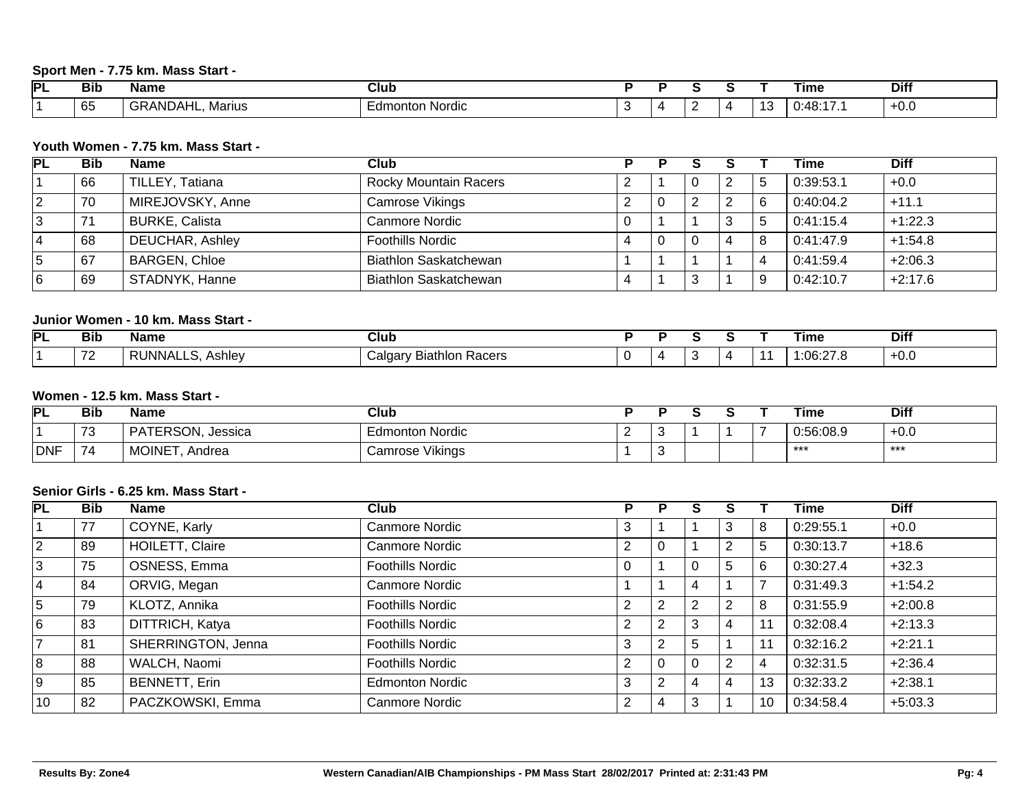## **Sport Men - 7.75 km. Mass Start -**

| וס | <b>Bib</b>          | Name                           | <b>Club</b>            |  |  |     | Time                                                    | <b>Diff</b> |
|----|---------------------|--------------------------------|------------------------|--|--|-----|---------------------------------------------------------|-------------|
|    | $\sim$ $\sim$<br>ხე | <b>GRANDAI</b><br>Marius<br>பட | . .<br>Edmonton Nordic |  |  | . . | $\mathbf{A} \mathbf{R} \cdot \mathbf{A}$<br>v. TV.<br>. | ⊤∪.∪        |

#### **Youth Women - 7.75 km. Mass Start -**

| <b>PL</b> | <b>Bib</b> | <b>Name</b>            | Club                         |  |   | <b>Time</b> | <b>Diff</b> |
|-----------|------------|------------------------|------------------------------|--|---|-------------|-------------|
|           | 66         | TILLEY, Tatiana        | <b>Rocky Mountain Racers</b> |  | 2 | 0:39:53.1   | $+0.0$      |
| 2         | 70         | MIREJOVSKY, Anne       | Camrose Vikings              |  | 2 | 0:40:04.2   | $+11.1$     |
| 3         | 71         | <b>BURKE, Calista</b>  | Canmore Nordic               |  | ົ | 0:41:15.4   | $+1:22.3$   |
| 14        | 68         | <b>DEUCHAR, Ashley</b> | <b>Foothills Nordic</b>      |  |   | 0:41:47.9   | $+1:54.8$   |
| 15        | 67         | <b>BARGEN, Chloe</b>   | <b>Biathlon Saskatchewan</b> |  |   | 0:41:59.4   | $+2:06.3$   |
| 16        | 69         | STADNYK, Hanne         | <b>Biathlon Saskatchewan</b> |  |   | 0:42:10.7   | $+2:17.6$   |

## **Junior Women - 10 km. Mass Start -**

| <b>PL</b> | <b>Bib</b>                      | Name                   | Club                                             |  |  | Time              | <b>Diff</b> |
|-----------|---------------------------------|------------------------|--------------------------------------------------|--|--|-------------------|-------------|
|           | $\overline{\phantom{a}}$<br>. . | <b>INNAI</b><br>Ashley | --<br>Racers<br>∶aldar∖<br><b>Biathlo</b><br>. . |  |  | $\sim$<br>التحالي | +v.v        |

#### **Women - 12.5 km. Mass Start -**

| PL         | <b>Bib</b> | <b>Name</b>                          | Club                   |              |  | <b>Time</b> | <b>Diff</b> |
|------------|------------|--------------------------------------|------------------------|--------------|--|-------------|-------------|
|            | 70<br>ں ،  | <b>TERSON, Jessica</b><br>.<br>$H$ I | Edmonton Nordic        |              |  | 0:56:08.9   | +v.v        |
| <b>DNF</b> | 74         | <b>MOINET</b><br>. Andrea            | <b>Camrose Vikings</b> | $\mathbf{r}$ |  | ***         | ***         |

#### **Senior Girls - 6.25 km. Mass Start -**

| PL             | <b>Bib</b> | <b>Name</b>          | Club                    | P              |   |                |   |    | <b>Time</b> | <b>Diff</b> |
|----------------|------------|----------------------|-------------------------|----------------|---|----------------|---|----|-------------|-------------|
|                | 77         | COYNE, Karly         | <b>Canmore Nordic</b>   | 3              |   |                | 3 | 8  | 0:29:55.1   | $+0.0$      |
| $ 2\rangle$    | 89         | HOILETT, Claire      | <b>Canmore Nordic</b>   | $\overline{2}$ | 0 |                | 2 | 5  | 0:30:13.7   | $+18.6$     |
| 3              | 75         | OSNESS, Emma         | <b>Foothills Nordic</b> |                |   |                | 5 | -6 | 0:30:27.4   | $+32.3$     |
| 4              | 84         | ORVIG, Megan         | <b>Canmore Nordic</b>   |                |   | 4              |   |    | 0:31:49.3   | $+1:54.2$   |
| 5              | 79         | KLOTZ, Annika        | <b>Foothills Nordic</b> | $\overline{2}$ | 2 | $\overline{2}$ | 2 | 8  | 0:31:55.9   | $+2:00.8$   |
| 6              | 83         | DITTRICH, Katya      | <b>Foothills Nordic</b> | $\overline{2}$ | 2 | 3              | 4 |    | 0:32:08.4   | $+2:13.3$   |
| $\overline{7}$ | 81         | SHERRINGTON, Jenna   | <b>Foothills Nordic</b> | 3              | 2 | 5              |   |    | 0:32:16.2   | $+2:21.1$   |
| 8              | 88         | WALCH, Naomi         | <b>Foothills Nordic</b> | 2              | 0 |                | 2 |    | 0:32:31.5   | $+2:36.4$   |
| 9              | 85         | <b>BENNETT, Erin</b> | <b>Edmonton Nordic</b>  | 3              | 2 | 4              | 4 | 13 | 0:32:33.2   | $+2:38.1$   |
| 10             | 82         | PACZKOWSKI, Emma     | <b>Canmore Nordic</b>   | 2              | 4 | 3              |   | 10 | 0:34:58.4   | $+5:03.3$   |